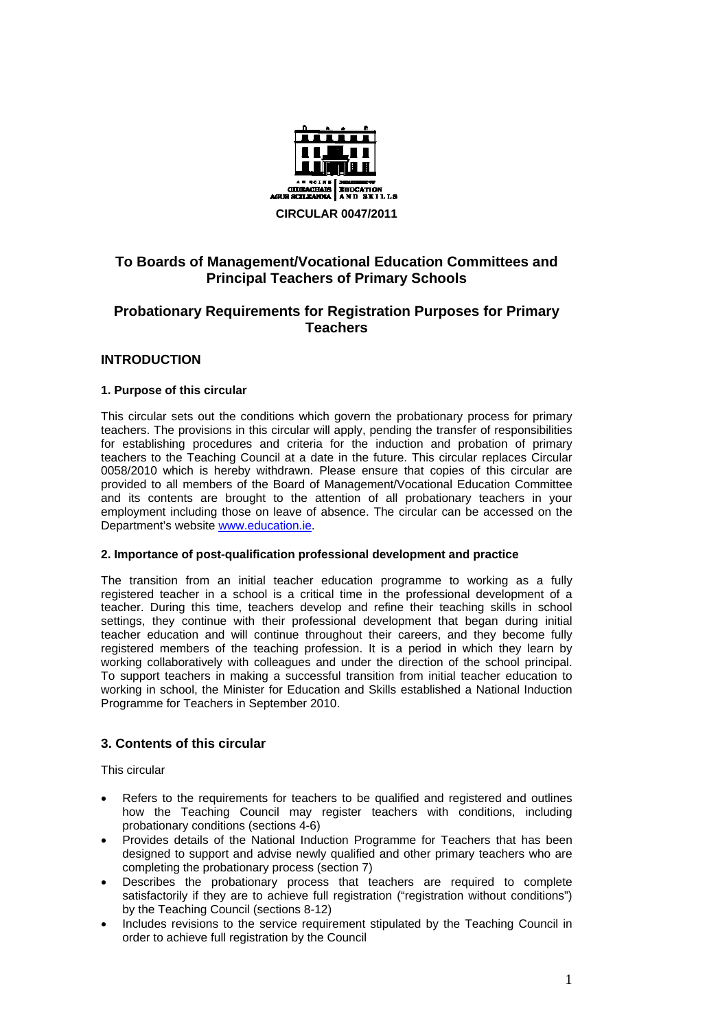

# **To Boards of Management/Vocational Education Committees and Principal Teachers of Primary Schools**

# **Probationary Requirements for Registration Purposes for Primary Teachers**

## **INTRODUCTION**

## **1. Purpose of this circular**

This circular sets out the conditions which govern the probationary process for primary teachers. The provisions in this circular will apply, pending the transfer of responsibilities for establishing procedures and criteria for the induction and probation of primary teachers to the Teaching Council at a date in the future. This circular replaces Circular 0058/2010 which is hereby withdrawn. Please ensure that copies of this circular are provided to all members of the Board of Management/Vocational Education Committee and its contents are brought to the attention of all probationary teachers in your employment including those on leave of absence. The circular can be accessed on the Department's website [www.education.ie](http://www.education.ie/).

### **2. Importance of post-qualification professional development and practice**

The transition from an initial teacher education programme to working as a fully registered teacher in a school is a critical time in the professional development of a teacher. During this time, teachers develop and refine their teaching skills in school settings, they continue with their professional development that began during initial teacher education and will continue throughout their careers, and they become fully registered members of the teaching profession. It is a period in which they learn by working collaboratively with colleagues and under the direction of the school principal. To support teachers in making a successful transition from initial teacher education to working in school, the Minister for Education and Skills established a National Induction Programme for Teachers in September 2010.

## **3. Contents of this circular**

This circular

- Refers to the requirements for teachers to be qualified and registered and outlines how the Teaching Council may register teachers with conditions, including probationary conditions (sections 4-6)
- Provides details of the National Induction Programme for Teachers that has been designed to support and advise newly qualified and other primary teachers who are completing the probationary process (section 7)
- Describes the probationary process that teachers are required to complete satisfactorily if they are to achieve full registration ("registration without conditions") by the Teaching Council (sections 8-12)
- Includes revisions to the service requirement stipulated by the Teaching Council in order to achieve full registration by the Council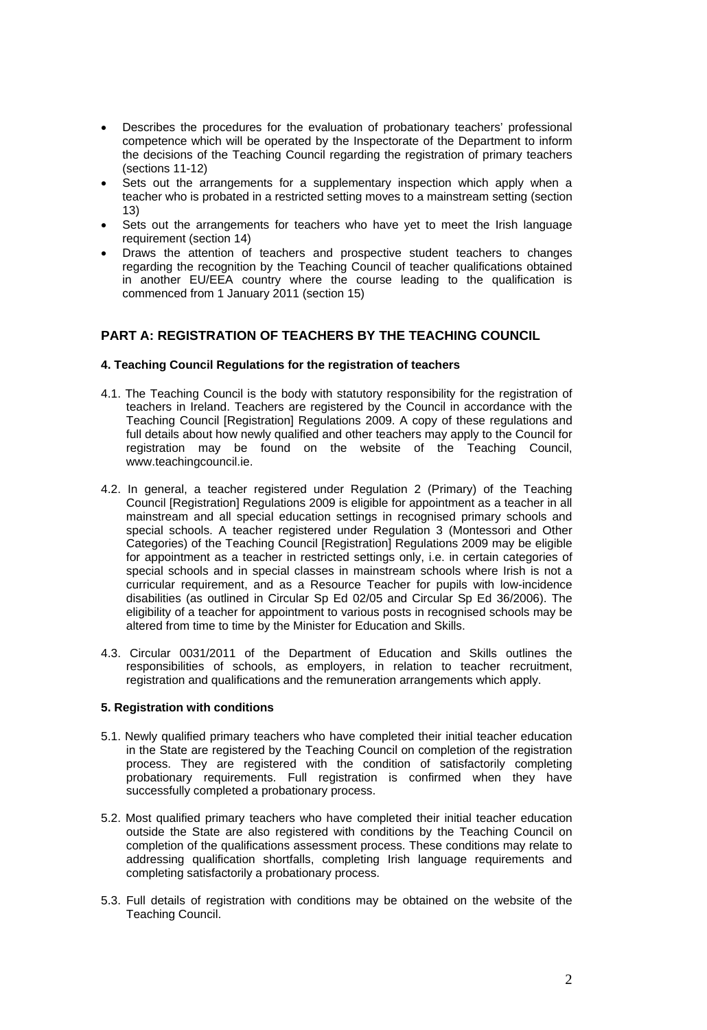- Describes the procedures for the evaluation of probationary teachers' professional competence which will be operated by the Inspectorate of the Department to inform the decisions of the Teaching Council regarding the registration of primary teachers (sections 11-12)
- Sets out the arrangements for a supplementary inspection which apply when a teacher who is probated in a restricted setting moves to a mainstream setting (section 13)
- Sets out the arrangements for teachers who have yet to meet the Irish language requirement (section 14)
- Draws the attention of teachers and prospective student teachers to changes regarding the recognition by the Teaching Council of teacher qualifications obtained in another EU/EEA country where the course leading to the qualification is commenced from 1 January 2011 (section 15)

## **PART A: REGISTRATION OF TEACHERS BY THE TEACHING COUNCIL**

### **4. Teaching Council Regulations for the registration of teachers**

- 4.1. The Teaching Council is the body with statutory responsibility for the registration of teachers in Ireland. Teachers are registered by the Council in accordance with the Teaching Council [Registration] Regulations 2009. A copy of these regulations and full details about how newly qualified and other teachers may apply to the Council for registration may be found on the website of the Teaching Council, www.teachingcouncil.ie.
- 4.2. In general, a teacher registered under Regulation 2 (Primary) of the Teaching Council [Registration] Regulations 2009 is eligible for appointment as a teacher in all mainstream and all special education settings in recognised primary schools and special schools. A teacher registered under Regulation 3 (Montessori and Other Categories) of the Teaching Council [Registration] Regulations 2009 may be eligible for appointment as a teacher in restricted settings only, i.e. in certain categories of special schools and in special classes in mainstream schools where Irish is not a curricular requirement, and as a Resource Teacher for pupils with low-incidence disabilities (as outlined in Circular Sp Ed 02/05 and Circular Sp Ed 36/2006). The eligibility of a teacher for appointment to various posts in recognised schools may be altered from time to time by the Minister for Education and Skills.
- 4.3. Circular 0031/2011 of the Department of Education and Skills outlines the responsibilities of schools, as employers, in relation to teacher recruitment, registration and qualifications and the remuneration arrangements which apply.

### **5. Registration with conditions**

- 5.1. Newly qualified primary teachers who have completed their initial teacher education in the State are registered by the Teaching Council on completion of the registration process. They are registered with the condition of satisfactorily completing probationary requirements. Full registration is confirmed when they have successfully completed a probationary process.
- 5.2. Most qualified primary teachers who have completed their initial teacher education outside the State are also registered with conditions by the Teaching Council on completion of the qualifications assessment process. These conditions may relate to addressing qualification shortfalls, completing Irish language requirements and completing satisfactorily a probationary process.
- 5.3. Full details of registration with conditions may be obtained on the website of the Teaching Council.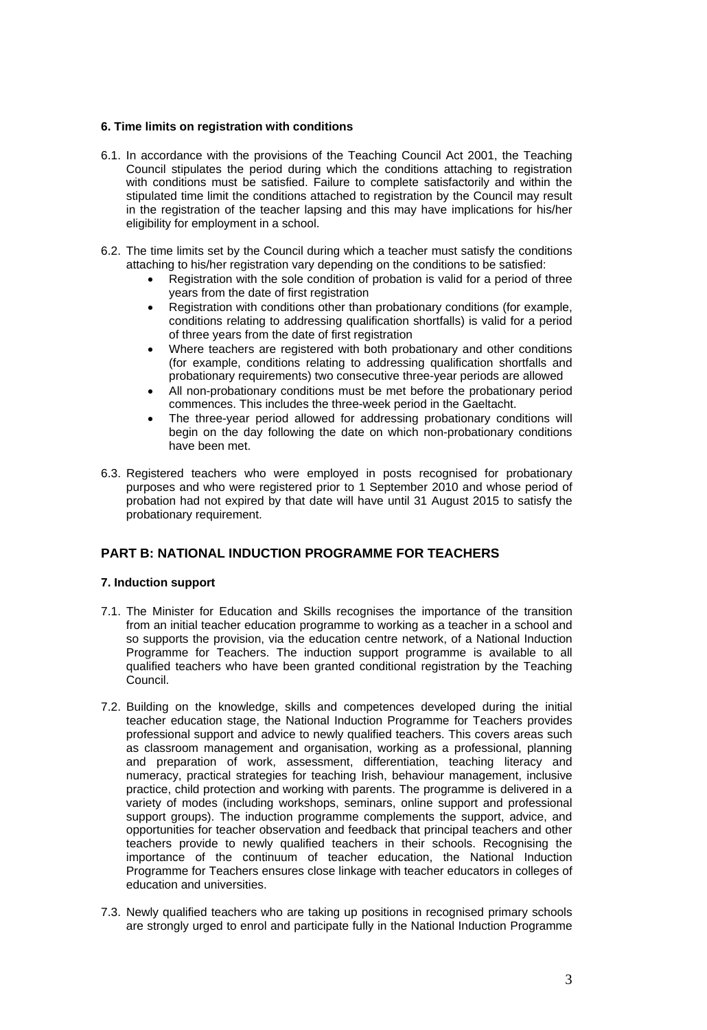## **6. Time limits on registration with conditions**

- 6.1. In accordance with the provisions of the Teaching Council Act 2001, the Teaching Council stipulates the period during which the conditions attaching to registration with conditions must be satisfied. Failure to complete satisfactorily and within the stipulated time limit the conditions attached to registration by the Council may result in the registration of the teacher lapsing and this may have implications for his/her eligibility for employment in a school.
- 6.2. The time limits set by the Council during which a teacher must satisfy the conditions attaching to his/her registration vary depending on the conditions to be satisfied:
	- Registration with the sole condition of probation is valid for a period of three years from the date of first registration
	- Registration with conditions other than probationary conditions (for example, conditions relating to addressing qualification shortfalls) is valid for a period of three years from the date of first registration
	- Where teachers are registered with both probationary and other conditions (for example, conditions relating to addressing qualification shortfalls and probationary requirements) two consecutive three-year periods are allowed
	- All non-probationary conditions must be met before the probationary period commences. This includes the three-week period in the Gaeltacht.
	- The three-year period allowed for addressing probationary conditions will begin on the day following the date on which non-probationary conditions have been met.
- 6.3. Registered teachers who were employed in posts recognised for probationary purposes and who were registered prior to 1 September 2010 and whose period of probation had not expired by that date will have until 31 August 2015 to satisfy the probationary requirement.

# **PART B: NATIONAL INDUCTION PROGRAMME FOR TEACHERS**

## **7. Induction support**

- 7.1. The Minister for Education and Skills recognises the importance of the transition from an initial teacher education programme to working as a teacher in a school and so supports the provision, via the education centre network, of a National Induction Programme for Teachers. The induction support programme is available to all qualified teachers who have been granted conditional registration by the Teaching Council.
- 7.2. Building on the knowledge, skills and competences developed during the initial teacher education stage, the National Induction Programme for Teachers provides professional support and advice to newly qualified teachers. This covers areas such as classroom management and organisation, working as a professional, planning and preparation of work, assessment, differentiation, teaching literacy and numeracy, practical strategies for teaching Irish, behaviour management, inclusive practice, child protection and working with parents. The programme is delivered in a variety of modes (including workshops, seminars, online support and professional support groups). The induction programme complements the support, advice, and opportunities for teacher observation and feedback that principal teachers and other teachers provide to newly qualified teachers in their schools. Recognising the importance of the continuum of teacher education, the National Induction Programme for Teachers ensures close linkage with teacher educators in colleges of education and universities.
- 7.3. Newly qualified teachers who are taking up positions in recognised primary schools are strongly urged to enrol and participate fully in the National Induction Programme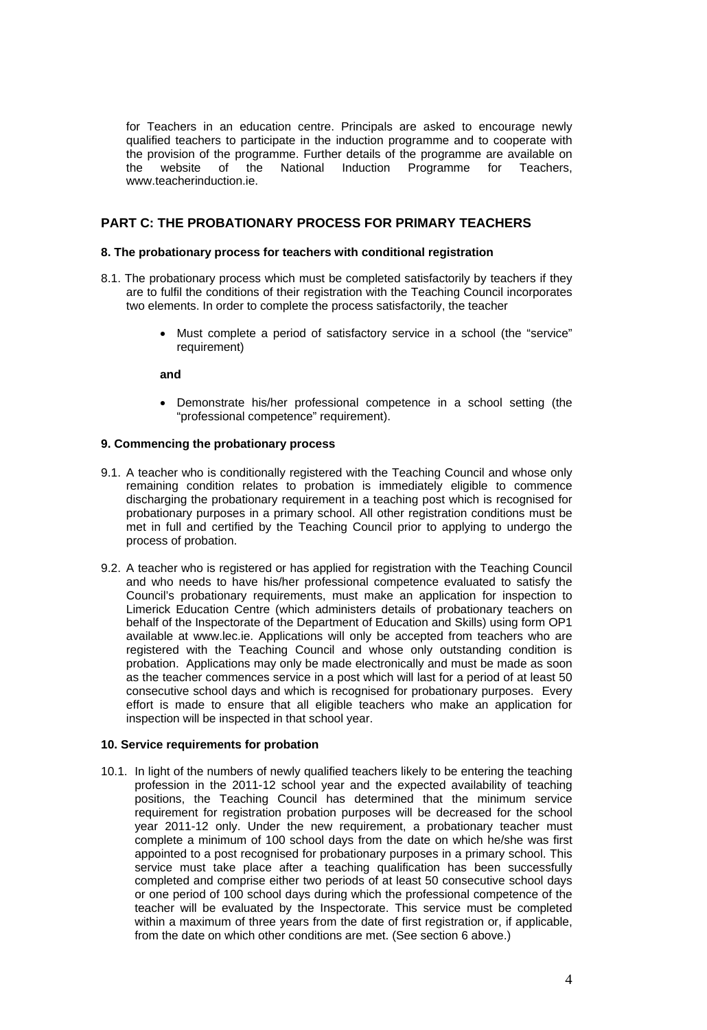for Teachers in an education centre. Principals are asked to encourage newly qualified teachers to participate in the induction programme and to cooperate with the provision of the programme. Further details of the programme are available on the website of the National Induction Programme for Teachers, www.teacherinduction.ie.

## **PART C: THE PROBATIONARY PROCESS FOR PRIMARY TEACHERS**

### **8. The probationary process for teachers with conditional registration**

- 8.1. The probationary process which must be completed satisfactorily by teachers if they are to fulfil the conditions of their registration with the Teaching Council incorporates two elements. In order to complete the process satisfactorily, the teacher
	- Must complete a period of satisfactory service in a school (the "service" requirement)

**and** 

• Demonstrate his/her professional competence in a school setting (the "professional competence" requirement).

#### **9. Commencing the probationary process**

- 9.1. A teacher who is conditionally registered with the Teaching Council and whose only remaining condition relates to probation is immediately eligible to commence discharging the probationary requirement in a teaching post which is recognised for probationary purposes in a primary school. All other registration conditions must be met in full and certified by the Teaching Council prior to applying to undergo the process of probation.
- 9.2. A teacher who is registered or has applied for registration with the Teaching Council and who needs to have his/her professional competence evaluated to satisfy the Council's probationary requirements, must make an application for inspection to Limerick Education Centre (which administers details of probationary teachers on behalf of the Inspectorate of the Department of Education and Skills) using form OP1 available at www.lec.ie. Applications will only be accepted from teachers who are registered with the Teaching Council and whose only outstanding condition is probation. Applications may only be made electronically and must be made as soon as the teacher commences service in a post which will last for a period of at least 50 consecutive school days and which is recognised for probationary purposes. Every effort is made to ensure that all eligible teachers who make an application for inspection will be inspected in that school year.

### **10. Service requirements for probation**

10.1. In light of the numbers of newly qualified teachers likely to be entering the teaching profession in the 2011-12 school year and the expected availability of teaching positions, the Teaching Council has determined that the minimum service requirement for registration probation purposes will be decreased for the school year 2011-12 only. Under the new requirement, a probationary teacher must complete a minimum of 100 school days from the date on which he/she was first appointed to a post recognised for probationary purposes in a primary school. This service must take place after a teaching qualification has been successfully completed and comprise either two periods of at least 50 consecutive school days or one period of 100 school days during which the professional competence of the teacher will be evaluated by the Inspectorate. This service must be completed within a maximum of three years from the date of first registration or, if applicable, from the date on which other conditions are met. (See section 6 above.)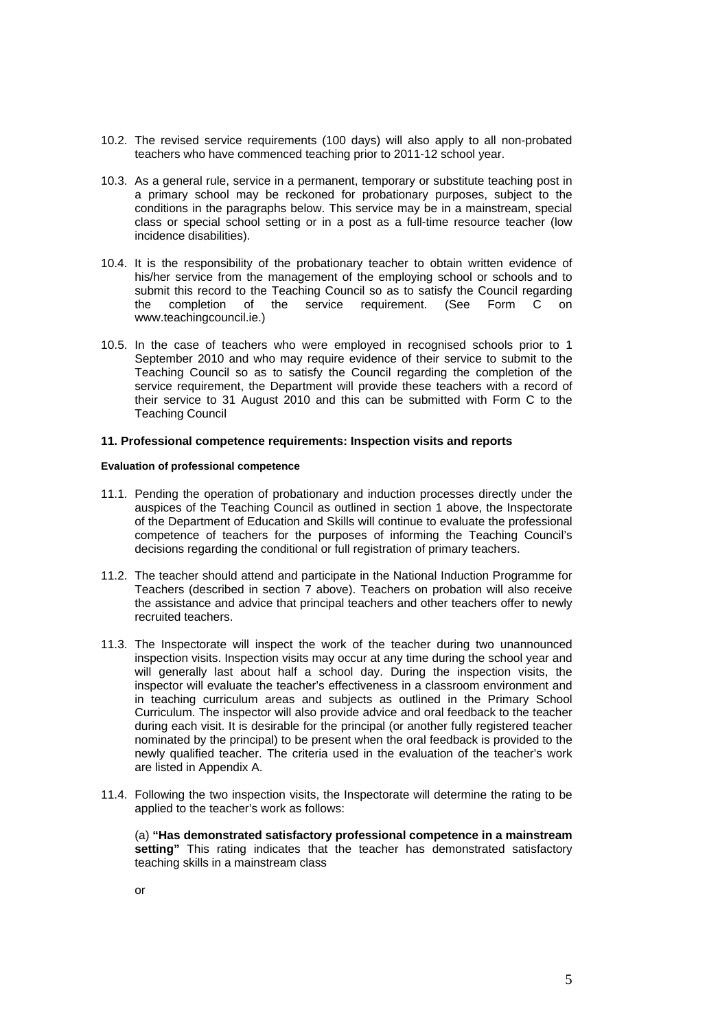- 10.2. The revised service requirements (100 days) will also apply to all non-probated teachers who have commenced teaching prior to 2011-12 school year.
- 10.3. As a general rule, service in a permanent, temporary or substitute teaching post in a primary school may be reckoned for probationary purposes, subject to the conditions in the paragraphs below. This service may be in a mainstream, special class or special school setting or in a post as a full-time resource teacher (low incidence disabilities).
- 10.4. It is the responsibility of the probationary teacher to obtain written evidence of his/her service from the management of the employing school or schools and to submit this record to the Teaching Council so as to satisfy the Council regarding the completion of the service requirement. (See Form C on www.teachingcouncil.ie.)
- 10.5. In the case of teachers who were employed in recognised schools prior to 1 September 2010 and who may require evidence of their service to submit to the Teaching Council so as to satisfy the Council regarding the completion of the service requirement, the Department will provide these teachers with a record of their service to 31 August 2010 and this can be submitted with Form C to the Teaching Council

#### **11. Professional competence requirements: Inspection visits and reports**

#### **Evaluation of professional competence**

- 11.1. Pending the operation of probationary and induction processes directly under the auspices of the Teaching Council as outlined in section 1 above, the Inspectorate of the Department of Education and Skills will continue to evaluate the professional competence of teachers for the purposes of informing the Teaching Council's decisions regarding the conditional or full registration of primary teachers.
- 11.2. The teacher should attend and participate in the National Induction Programme for Teachers (described in section 7 above). Teachers on probation will also receive the assistance and advice that principal teachers and other teachers offer to newly recruited teachers.
- 11.3. The Inspectorate will inspect the work of the teacher during two unannounced inspection visits. Inspection visits may occur at any time during the school year and will generally last about half a school day. During the inspection visits, the inspector will evaluate the teacher's effectiveness in a classroom environment and in teaching curriculum areas and subjects as outlined in the Primary School Curriculum. The inspector will also provide advice and oral feedback to the teacher during each visit. It is desirable for the principal (or another fully registered teacher nominated by the principal) to be present when the oral feedback is provided to the newly qualified teacher. The criteria used in the evaluation of the teacher's work are listed in Appendix A.
- 11.4. Following the two inspection visits, the Inspectorate will determine the rating to be applied to the teacher's work as follows:

(a) **"Has demonstrated satisfactory professional competence in a mainstream**  setting" This rating indicates that the teacher has demonstrated satisfactory teaching skills in a mainstream class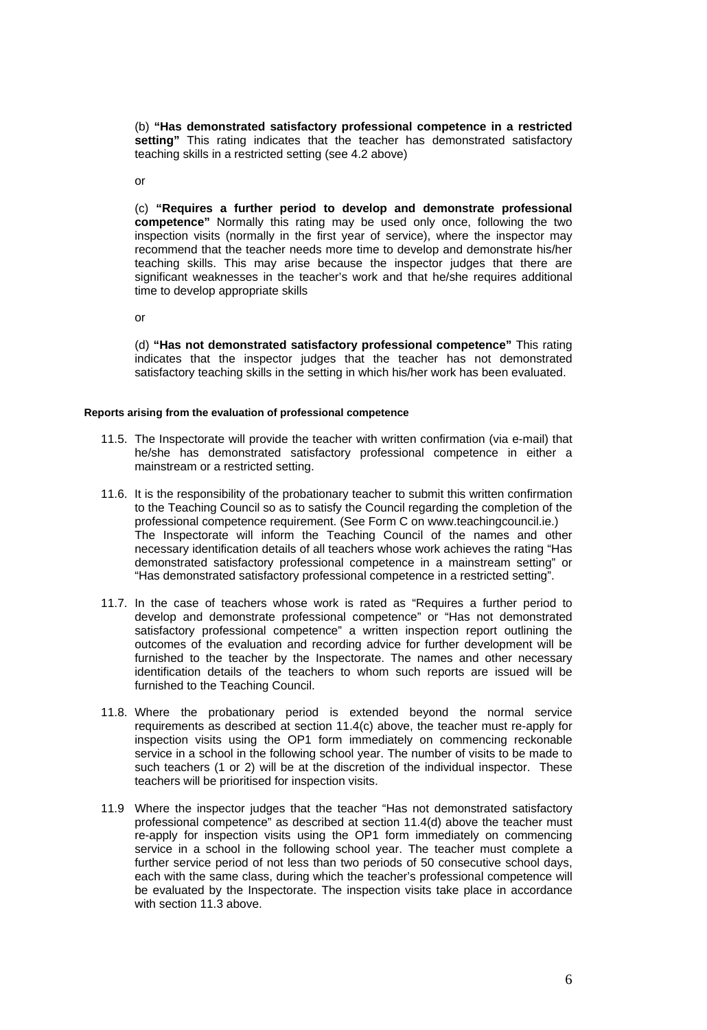(b) **"Has demonstrated satisfactory professional competence in a restricted setting"** This rating indicates that the teacher has demonstrated satisfactory teaching skills in a restricted setting (see 4.2 above)

or

(c) **"Requires a further period to develop and demonstrate professional competence"** Normally this rating may be used only once, following the two inspection visits (normally in the first year of service), where the inspector may recommend that the teacher needs more time to develop and demonstrate his/her teaching skills. This may arise because the inspector judges that there are significant weaknesses in the teacher's work and that he/she requires additional time to develop appropriate skills

or

(d) **"Has not demonstrated satisfactory professional competence"** This rating indicates that the inspector judges that the teacher has not demonstrated satisfactory teaching skills in the setting in which his/her work has been evaluated.

### **Reports arising from the evaluation of professional competence**

- 11.5. The Inspectorate will provide the teacher with written confirmation (via e-mail) that he/she has demonstrated satisfactory professional competence in either a mainstream or a restricted setting.
- 11.6. It is the responsibility of the probationary teacher to submit this written confirmation to the Teaching Council so as to satisfy the Council regarding the completion of the professional competence requirement. (See Form C on www.teachingcouncil.ie.) The Inspectorate will inform the Teaching Council of the names and other necessary identification details of all teachers whose work achieves the rating "Has demonstrated satisfactory professional competence in a mainstream setting" or "Has demonstrated satisfactory professional competence in a restricted setting".
- 11.7. In the case of teachers whose work is rated as "Requires a further period to develop and demonstrate professional competence" or "Has not demonstrated satisfactory professional competence" a written inspection report outlining the outcomes of the evaluation and recording advice for further development will be furnished to the teacher by the Inspectorate. The names and other necessary identification details of the teachers to whom such reports are issued will be furnished to the Teaching Council.
- 11.8. Where the probationary period is extended beyond the normal service requirements as described at section 11.4(c) above, the teacher must re-apply for inspection visits using the OP1 form immediately on commencing reckonable service in a school in the following school year. The number of visits to be made to such teachers (1 or 2) will be at the discretion of the individual inspector. These teachers will be prioritised for inspection visits.
- 11.9 Where the inspector judges that the teacher "Has not demonstrated satisfactory professional competence" as described at section 11.4(d) above the teacher must re-apply for inspection visits using the OP1 form immediately on commencing service in a school in the following school year. The teacher must complete a further service period of not less than two periods of 50 consecutive school days, each with the same class, during which the teacher's professional competence will be evaluated by the Inspectorate. The inspection visits take place in accordance with section 11.3 above.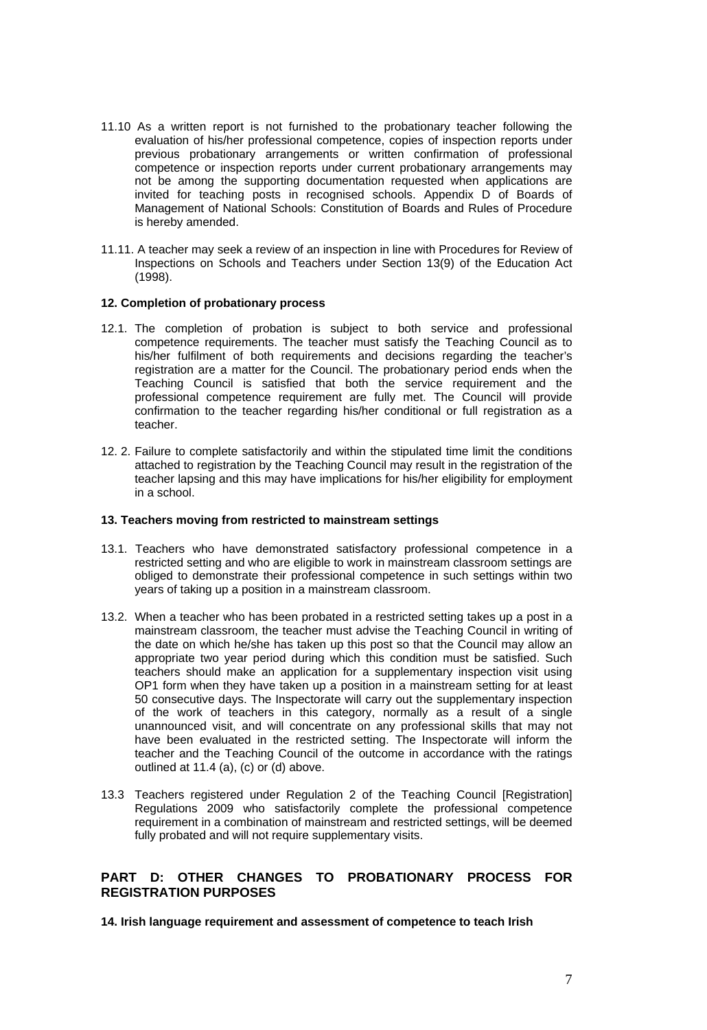- 11.10 As a written report is not furnished to the probationary teacher following the evaluation of his/her professional competence, copies of inspection reports under previous probationary arrangements or written confirmation of professional competence or inspection reports under current probationary arrangements may not be among the supporting documentation requested when applications are invited for teaching posts in recognised schools. Appendix D of Boards of Management of National Schools: Constitution of Boards and Rules of Procedure is hereby amended.
- 11.11. A teacher may seek a review of an inspection in line with Procedures for Review of Inspections on Schools and Teachers under Section 13(9) of the Education Act (1998).

### **12. Completion of probationary process**

- 12.1. The completion of probation is subject to both service and professional competence requirements. The teacher must satisfy the Teaching Council as to his/her fulfilment of both requirements and decisions regarding the teacher's registration are a matter for the Council. The probationary period ends when the Teaching Council is satisfied that both the service requirement and the professional competence requirement are fully met. The Council will provide confirmation to the teacher regarding his/her conditional or full registration as a teacher.
- 12. 2. Failure to complete satisfactorily and within the stipulated time limit the conditions attached to registration by the Teaching Council may result in the registration of the teacher lapsing and this may have implications for his/her eligibility for employment in a school.

#### **13. Teachers moving from restricted to mainstream settings**

- 13.1. Teachers who have demonstrated satisfactory professional competence in a restricted setting and who are eligible to work in mainstream classroom settings are obliged to demonstrate their professional competence in such settings within two years of taking up a position in a mainstream classroom.
- 13.2. When a teacher who has been probated in a restricted setting takes up a post in a mainstream classroom, the teacher must advise the Teaching Council in writing of the date on which he/she has taken up this post so that the Council may allow an appropriate two year period during which this condition must be satisfied. Such teachers should make an application for a supplementary inspection visit using OP1 form when they have taken up a position in a mainstream setting for at least 50 consecutive days. The Inspectorate will carry out the supplementary inspection of the work of teachers in this category, normally as a result of a single unannounced visit, and will concentrate on any professional skills that may not have been evaluated in the restricted setting. The Inspectorate will inform the teacher and the Teaching Council of the outcome in accordance with the ratings outlined at 11.4 (a), (c) or (d) above.
- 13.3 Teachers registered under Regulation 2 of the Teaching Council [Registration] Regulations 2009 who satisfactorily complete the professional competence requirement in a combination of mainstream and restricted settings, will be deemed fully probated and will not require supplementary visits.

# **PART D: OTHER CHANGES TO PROBATIONARY PROCESS FOR REGISTRATION PURPOSES**

**14. Irish language requirement and assessment of competence to teach Irish**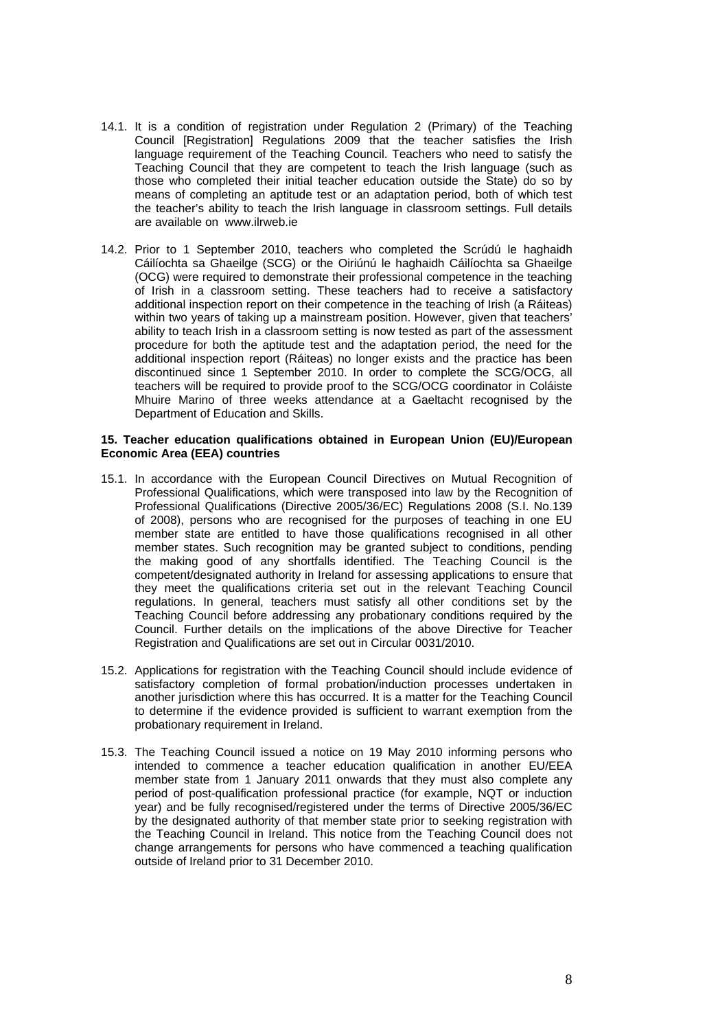- 14.1. It is a condition of registration under Regulation 2 (Primary) of the Teaching Council [Registration] Regulations 2009 that the teacher satisfies the Irish language requirement of the Teaching Council. Teachers who need to satisfy the Teaching Council that they are competent to teach the Irish language (such as those who completed their initial teacher education outside the State) do so by means of completing an aptitude test or an adaptation period, both of which test the teacher's ability to teach the Irish language in classroom settings. Full details are available on www.ilrweb.ie
- 14.2. Prior to 1 September 2010, teachers who completed the Scrúdú le haghaidh Cáilíochta sa Ghaeilge (SCG) or the Oiriúnú le haghaidh Cáilíochta sa Ghaeilge (OCG) were required to demonstrate their professional competence in the teaching of Irish in a classroom setting. These teachers had to receive a satisfactory additional inspection report on their competence in the teaching of Irish (a Ráiteas) within two years of taking up a mainstream position. However, given that teachers' ability to teach Irish in a classroom setting is now tested as part of the assessment procedure for both the aptitude test and the adaptation period, the need for the additional inspection report (Ráiteas) no longer exists and the practice has been discontinued since 1 September 2010. In order to complete the SCG/OCG, all teachers will be required to provide proof to the SCG/OCG coordinator in Coláiste Mhuire Marino of three weeks attendance at a Gaeltacht recognised by the Department of Education and Skills.

#### **15. Teacher education qualifications obtained in European Union (EU)/European Economic Area (EEA) countries**

- 15.1. In accordance with the European Council Directives on Mutual Recognition of Professional Qualifications, which were transposed into law by the Recognition of Professional Qualifications (Directive 2005/36/EC) Regulations 2008 (S.I. No.139 of 2008), persons who are recognised for the purposes of teaching in one EU member state are entitled to have those qualifications recognised in all other member states. Such recognition may be granted subject to conditions, pending the making good of any shortfalls identified. The Teaching Council is the competent/designated authority in Ireland for assessing applications to ensure that they meet the qualifications criteria set out in the relevant Teaching Council regulations. In general, teachers must satisfy all other conditions set by the Teaching Council before addressing any probationary conditions required by the Council. Further details on the implications of the above Directive for Teacher Registration and Qualifications are set out in Circular 0031/2010.
- 15.2. Applications for registration with the Teaching Council should include evidence of satisfactory completion of formal probation/induction processes undertaken in another jurisdiction where this has occurred. It is a matter for the Teaching Council to determine if the evidence provided is sufficient to warrant exemption from the probationary requirement in Ireland.
- 15.3. The Teaching Council issued a notice on 19 May 2010 informing persons who intended to commence a teacher education qualification in another EU/EEA member state from 1 January 2011 onwards that they must also complete any period of post-qualification professional practice (for example, NQT or induction year) and be fully recognised/registered under the terms of Directive 2005/36/EC by the designated authority of that member state prior to seeking registration with the Teaching Council in Ireland. This notice from the Teaching Council does not change arrangements for persons who have commenced a teaching qualification outside of Ireland prior to 31 December 2010.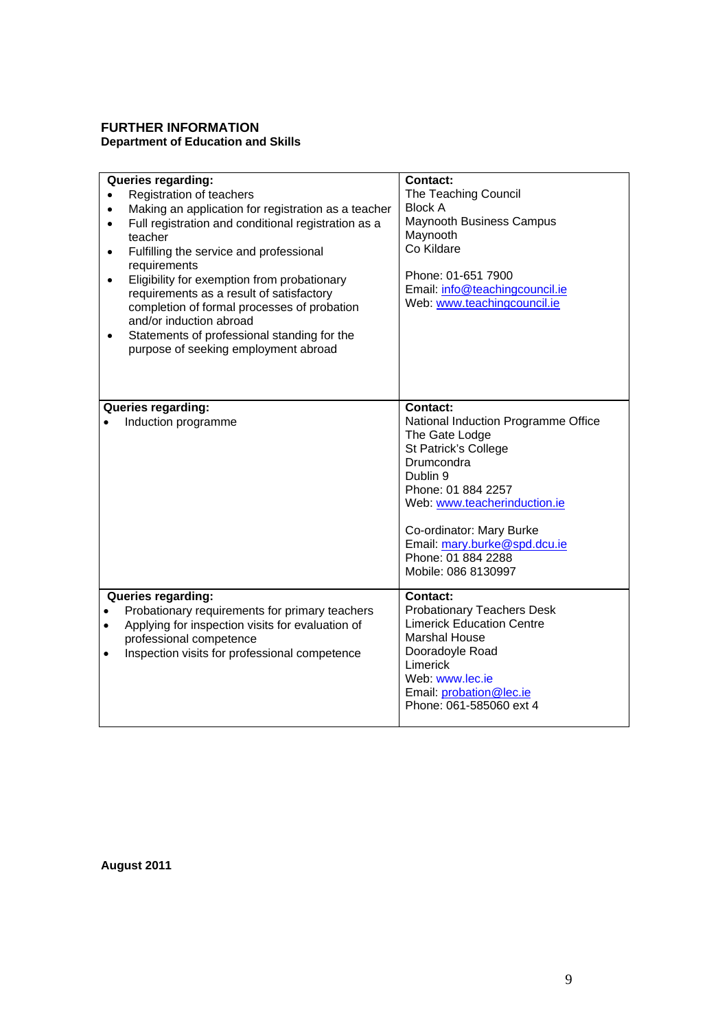# **FURTHER INFORMATION Department of Education and Skills**

| Queries regarding:<br>Registration of teachers<br>Making an application for registration as a teacher<br>Full registration and conditional registration as a<br>teacher<br>Fulfilling the service and professional<br>$\bullet$<br>requirements<br>Eligibility for exemption from probationary<br>٠<br>requirements as a result of satisfactory<br>completion of formal processes of probation<br>and/or induction abroad<br>Statements of professional standing for the<br>purpose of seeking employment abroad | <b>Contact:</b><br>The Teaching Council<br><b>Block A</b><br><b>Maynooth Business Campus</b><br>Maynooth<br>Co Kildare<br>Phone: 01-651 7900<br>Email: info@teachingcouncil.ie<br>Web: www.teachingcouncil.ie                                                                                    |
|------------------------------------------------------------------------------------------------------------------------------------------------------------------------------------------------------------------------------------------------------------------------------------------------------------------------------------------------------------------------------------------------------------------------------------------------------------------------------------------------------------------|--------------------------------------------------------------------------------------------------------------------------------------------------------------------------------------------------------------------------------------------------------------------------------------------------|
| Queries regarding:<br>Induction programme                                                                                                                                                                                                                                                                                                                                                                                                                                                                        | <b>Contact:</b><br>National Induction Programme Office<br>The Gate Lodge<br><b>St Patrick's College</b><br>Drumcondra<br>Dublin 9<br>Phone: 01 884 2257<br>Web: www.teacherinduction.ie<br>Co-ordinator: Mary Burke<br>Email: mary.burke@spd.dcu.ie<br>Phone: 01 884 2288<br>Mobile: 086 8130997 |
| <b>Queries regarding:</b><br>Probationary requirements for primary teachers<br>Applying for inspection visits for evaluation of<br>$\bullet$<br>professional competence<br>Inspection visits for professional competence<br>$\bullet$                                                                                                                                                                                                                                                                            | <b>Contact:</b><br><b>Probationary Teachers Desk</b><br><b>Limerick Education Centre</b><br><b>Marshal House</b><br>Dooradoyle Road<br>Limerick<br>Web: www.lec.ie<br>Email: probation@lec.ie<br>Phone: 061-585060 ext 4                                                                         |

**August 2011**